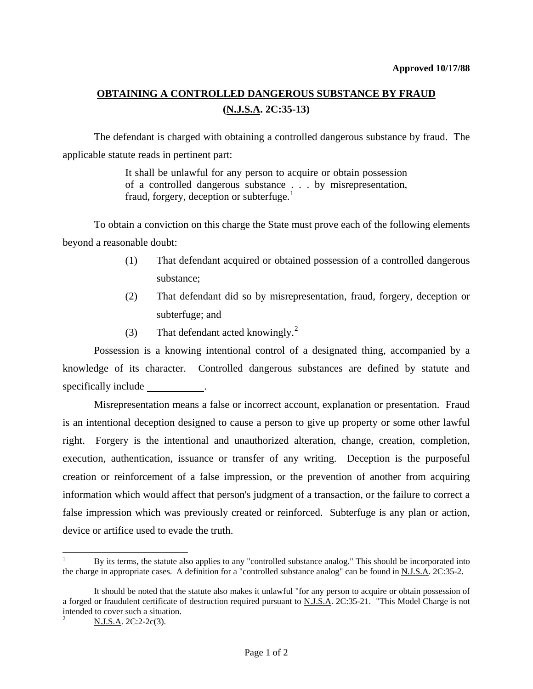## **OBTAINING A CONTROLLED DANGEROUS SUBSTANCE BY FRAUD (N.J.S.A. 2C:35-13)**

 The defendant is charged with obtaining a controlled dangerous substance by fraud. The applicable statute reads in pertinent part:

> It shall be unlawful for any person to acquire or obtain possession of a controlled dangerous substance . . . by misrepresentation, fraud, forgery, deception or subterfuge. $<sup>1</sup>$  $<sup>1</sup>$  $<sup>1</sup>$ </sup>

 To obtain a conviction on this charge the State must prove each of the following elements beyond a reasonable doubt:

- (1) That defendant acquired or obtained possession of a controlled dangerous substance;
- (2) That defendant did so by misrepresentation, fraud, forgery, deception or subterfuge; and
- (3) That defendant acted knowingly.<sup>[2](#page-0-1)</sup>

 Possession is a knowing intentional control of a designated thing, accompanied by a knowledge of its character. Controlled dangerous substances are defined by statute and specifically include \_\_\_\_\_\_\_\_\_\_\_.

 Misrepresentation means a false or incorrect account, explanation or presentation. Fraud is an intentional deception designed to cause a person to give up property or some other lawful right. Forgery is the intentional and unauthorized alteration, change, creation, completion, execution, authentication, issuance or transfer of any writing. Deception is the purposeful creation or reinforcement of a false impression, or the prevention of another from acquiring information which would affect that person's judgment of a transaction, or the failure to correct a false impression which was previously created or reinforced. Subterfuge is any plan or action, device or artifice used to evade the truth.

 $\overline{a}$ 

<span id="page-0-0"></span><sup>1</sup> By its terms, the statute also applies to any "controlled substance analog." This should be incorporated into the charge in appropriate cases. A definition for a "controlled substance analog" can be found in N.J.S.A. 2C:35-2.

It should be noted that the statute also makes it unlawful "for any person to acquire or obtain possession of a forged or fraudulent certificate of destruction required pursuant to N.J.S.A. 2C:35-21. "This Model Charge is not intended to cover such a situation.

<span id="page-0-1"></span>N.J.S.A. 2C:2-2c(3).